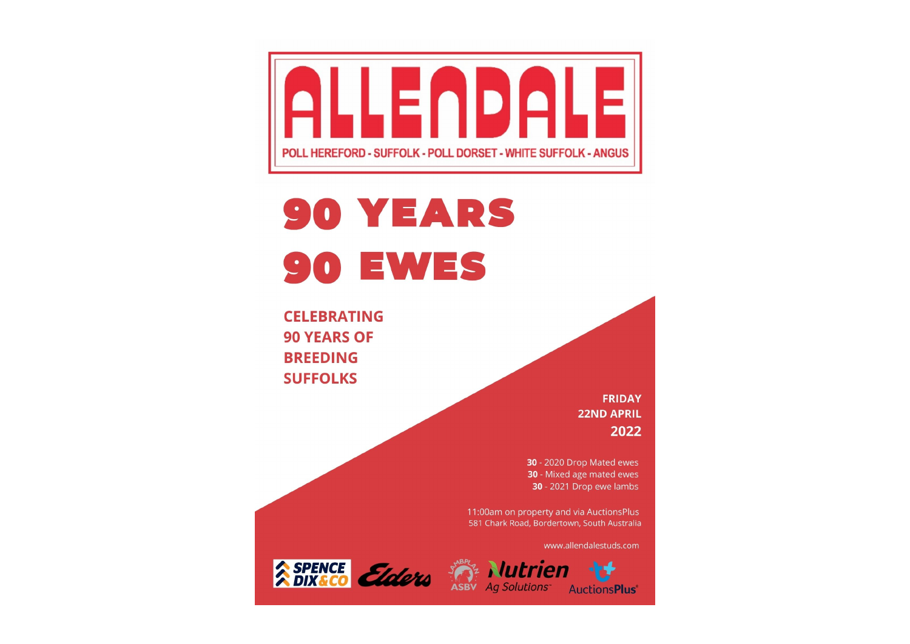

# **90 YEARS 90 EWES**

**CELEBRATING 90 YEARS OF BREEDING SUFFOLKS** 

> **FRIDAY 22ND APRIL** 2022

30 - 2020 Drop Mated ewes 30 - Mixed age mated ewes 30 - 2021 Drop ewe lambs

11:00am on property and via AuctionsPlus 581 Chark Road, Bordertown, South Australia

www.allendalestuds.com

**AuctionsPlus**<sup>®</sup>



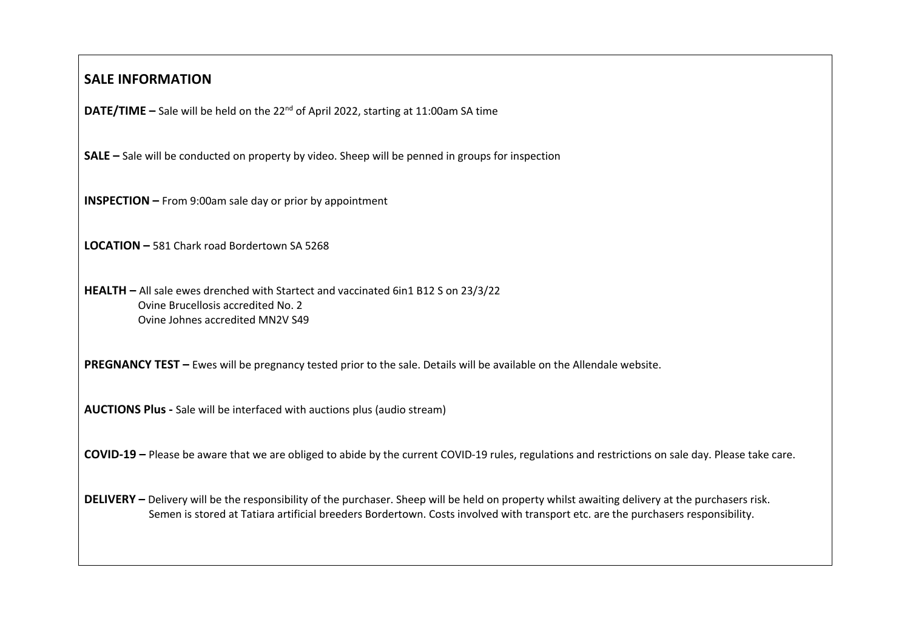#### **SALE INFORMATION**

**DATE/TIME –** Sale will be held on the 22<sup>nd</sup> of April 2022, starting at 11:00am SA time

**SALE –** Sale will be conducted on property by video. Sheep will be penned in groups for inspection

**INSPECTION –** From 9:00am sale day or prior by appointment

**LOCATION –** 581 Chark road Bordertown SA 5268

**HEALTH –** All sale ewes drenched with Startect and vaccinated 6in1 B12 S on 23/3/22 Ovine Brucellosis accredited No. 2 Ovine Johnes accredited MN2V S49

**PREGNANCY TEST –** Ewes will be pregnancy tested prior to the sale. Details will be available on the Allendale website.

**AUCTIONS Plus -** Sale will be interfaced with auctions plus (audio stream)

**COVID-19 –** Please be aware that we are obliged to abide by the current COVID-19 rules, regulations and restrictions on sale day. Please take care.

**DELIVERY –** Delivery will be the responsibility of the purchaser. Sheep will be held on property whilst awaiting delivery at the purchasers risk. Semen is stored at Tatiara artificial breeders Bordertown. Costs involved with transport etc. are the purchasers responsibility.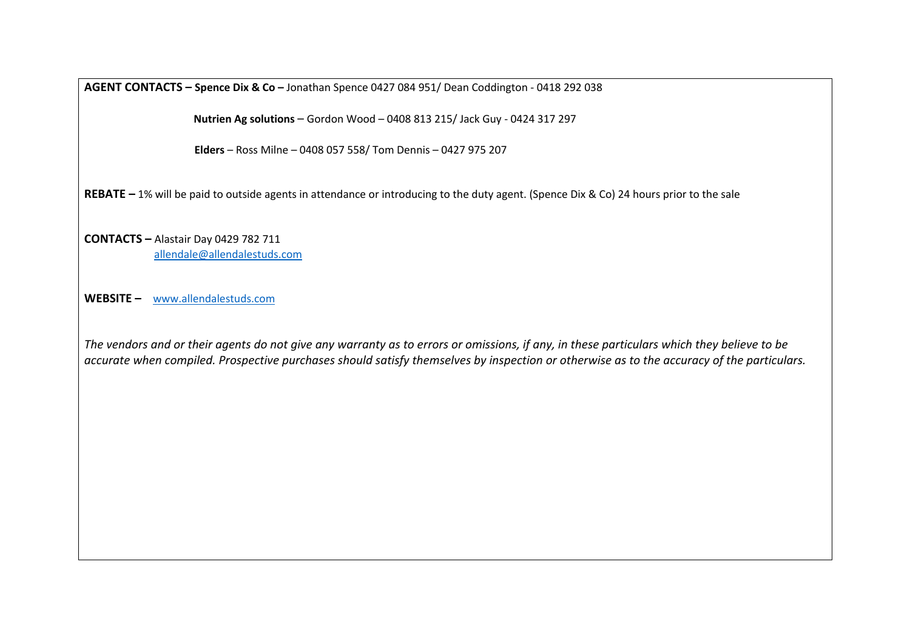**AGENT CONTACTS – Spence Dix & Co –** Jonathan Spence 0427 084 951/ Dean Coddington - 0418 292 038

 **Nutrien Ag solutions** – Gordon Wood – 0408 813 215/ Jack Guy - 0424 317 297

**Elders** – Ross Milne – 0408 057 558/ Tom Dennis – 0427 975 207

**REBATE –** 1% will be paid to outside agents in attendance or introducing to the duty agent. (Spence Dix & Co) 24 hours prior to the sale

**CONTACTS –** Alastair Day 0429 782 711 allendale@allendalestuds.com

**WEBSITE –** www.allendalestuds.com

*The vendors and or their agents do not give any warranty as to errors or omissions, if any, in these particulars which they believe to be accurate when compiled. Prospective purchases should satisfy themselves by inspection or otherwise as to the accuracy of the particulars.*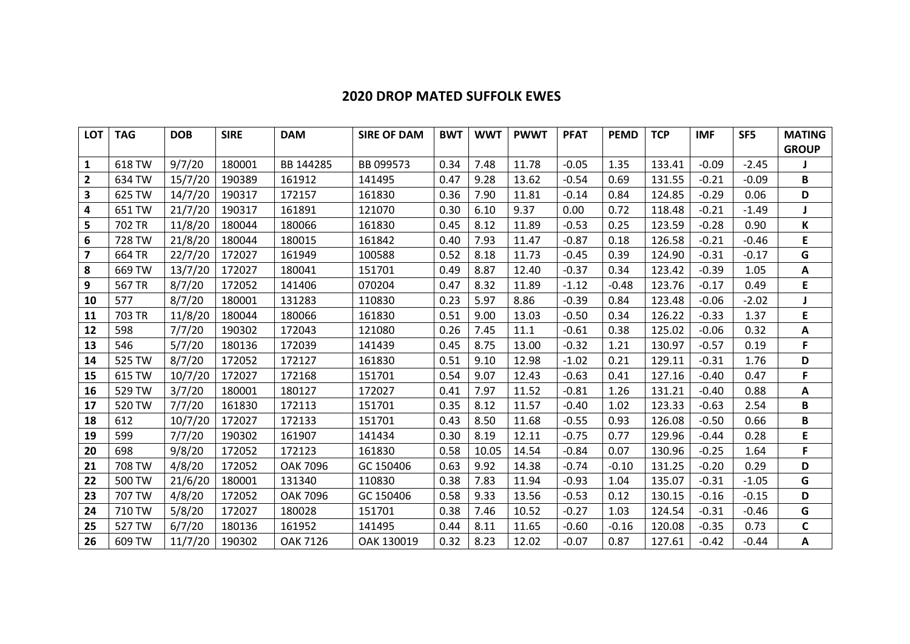### **2020 DROP MATED SUFFOLK EWES**

| <b>LOT</b>              | <b>TAG</b> | <b>DOB</b> | <b>SIRE</b> | <b>DAM</b>      | <b>SIRE OF DAM</b> | <b>BWT</b> | <b>WWT</b> | <b>PWWT</b> | <b>PFAT</b> | <b>PEMD</b> | <b>TCP</b> | <b>IMF</b> | SF <sub>5</sub> | <b>MATING</b><br><b>GROUP</b> |
|-------------------------|------------|------------|-------------|-----------------|--------------------|------------|------------|-------------|-------------|-------------|------------|------------|-----------------|-------------------------------|
| $\mathbf{1}$            | 618 TW     | 9/7/20     | 180001      | BB 144285       | BB 099573          | 0.34       | 7.48       | 11.78       | $-0.05$     | 1.35        | 133.41     | $-0.09$    | $-2.45$         | J                             |
| $\mathbf{2}$            | 634 TW     | 15/7/20    | 190389      | 161912          | 141495             | 0.47       | 9.28       | 13.62       | $-0.54$     | 0.69        | 131.55     | $-0.21$    | $-0.09$         | В                             |
| 3                       | 625 TW     | 14/7/20    | 190317      | 172157          | 161830             | 0.36       | 7.90       | 11.81       | $-0.14$     | 0.84        | 124.85     | $-0.29$    | 0.06            | D                             |
| 4                       | 651 TW     | 21/7/20    | 190317      | 161891          | 121070             | 0.30       | 6.10       | 9.37        | 0.00        | 0.72        | 118.48     | $-0.21$    | $-1.49$         |                               |
| 5                       | 702 TR     | 11/8/20    | 180044      | 180066          | 161830             | 0.45       | 8.12       | 11.89       | $-0.53$     | 0.25        | 123.59     | $-0.28$    | 0.90            | К                             |
| 6                       | 728 TW     | 21/8/20    | 180044      | 180015          | 161842             | 0.40       | 7.93       | 11.47       | $-0.87$     | 0.18        | 126.58     | $-0.21$    | $-0.46$         | E                             |
| $\overline{\mathbf{z}}$ | 664 TR     | 22/7/20    | 172027      | 161949          | 100588             | 0.52       | 8.18       | 11.73       | $-0.45$     | 0.39        | 124.90     | $-0.31$    | $-0.17$         | G                             |
| 8                       | 669 TW     | 13/7/20    | 172027      | 180041          | 151701             | 0.49       | 8.87       | 12.40       | $-0.37$     | 0.34        | 123.42     | $-0.39$    | 1.05            | А                             |
| 9                       | 567 TR     | 8/7/20     | 172052      | 141406          | 070204             | 0.47       | 8.32       | 11.89       | $-1.12$     | $-0.48$     | 123.76     | $-0.17$    | 0.49            | E                             |
| 10                      | 577        | 8/7/20     | 180001      | 131283          | 110830             | 0.23       | 5.97       | 8.86        | $-0.39$     | 0.84        | 123.48     | $-0.06$    | $-2.02$         |                               |
| 11                      | 703 TR     | 11/8/20    | 180044      | 180066          | 161830             | 0.51       | 9.00       | 13.03       | $-0.50$     | 0.34        | 126.22     | $-0.33$    | 1.37            | E                             |
| 12                      | 598        | 7/7/20     | 190302      | 172043          | 121080             | 0.26       | 7.45       | 11.1        | $-0.61$     | 0.38        | 125.02     | $-0.06$    | 0.32            | Α                             |
| 13                      | 546        | 5/7/20     | 180136      | 172039          | 141439             | 0.45       | 8.75       | 13.00       | $-0.32$     | 1.21        | 130.97     | $-0.57$    | 0.19            | F                             |
| 14                      | 525 TW     | 8/7/20     | 172052      | 172127          | 161830             | 0.51       | 9.10       | 12.98       | $-1.02$     | 0.21        | 129.11     | $-0.31$    | 1.76            | D                             |
| 15                      | 615 TW     | 10/7/20    | 172027      | 172168          | 151701             | 0.54       | 9.07       | 12.43       | $-0.63$     | 0.41        | 127.16     | $-0.40$    | 0.47            | F                             |
| 16                      | 529 TW     | 3/7/20     | 180001      | 180127          | 172027             | 0.41       | 7.97       | 11.52       | $-0.81$     | 1.26        | 131.21     | $-0.40$    | 0.88            | Α                             |
| 17                      | 520 TW     | 7/7/20     | 161830      | 172113          | 151701             | 0.35       | 8.12       | 11.57       | $-0.40$     | 1.02        | 123.33     | $-0.63$    | 2.54            | B                             |
| 18                      | 612        | 10/7/20    | 172027      | 172133          | 151701             | 0.43       | 8.50       | 11.68       | $-0.55$     | 0.93        | 126.08     | $-0.50$    | 0.66            | B                             |
| 19                      | 599        | 7/7/20     | 190302      | 161907          | 141434             | 0.30       | 8.19       | 12.11       | $-0.75$     | 0.77        | 129.96     | $-0.44$    | 0.28            | E                             |
| 20                      | 698        | 9/8/20     | 172052      | 172123          | 161830             | 0.58       | 10.05      | 14.54       | $-0.84$     | 0.07        | 130.96     | $-0.25$    | 1.64            | F                             |
| 21                      | 708 TW     | 4/8/20     | 172052      | <b>OAK 7096</b> | GC 150406          | 0.63       | 9.92       | 14.38       | $-0.74$     | $-0.10$     | 131.25     | $-0.20$    | 0.29            | D                             |
| 22                      | 500 TW     | 21/6/20    | 180001      | 131340          | 110830             | 0.38       | 7.83       | 11.94       | $-0.93$     | 1.04        | 135.07     | $-0.31$    | $-1.05$         | G                             |
| 23                      | 707 TW     | 4/8/20     | 172052      | <b>OAK 7096</b> | GC 150406          | 0.58       | 9.33       | 13.56       | $-0.53$     | 0.12        | 130.15     | $-0.16$    | $-0.15$         | D                             |
| 24                      | 710 TW     | 5/8/20     | 172027      | 180028          | 151701             | 0.38       | 7.46       | 10.52       | $-0.27$     | 1.03        | 124.54     | $-0.31$    | $-0.46$         | G                             |
| 25                      | 527 TW     | 6/7/20     | 180136      | 161952          | 141495             | 0.44       | 8.11       | 11.65       | $-0.60$     | $-0.16$     | 120.08     | $-0.35$    | 0.73            | $\mathsf{C}$                  |
| 26                      | 609 TW     | 11/7/20    | 190302      | OAK 7126        | OAK 130019         | 0.32       | 8.23       | 12.02       | $-0.07$     | 0.87        | 127.61     | $-0.42$    | $-0.44$         | Α                             |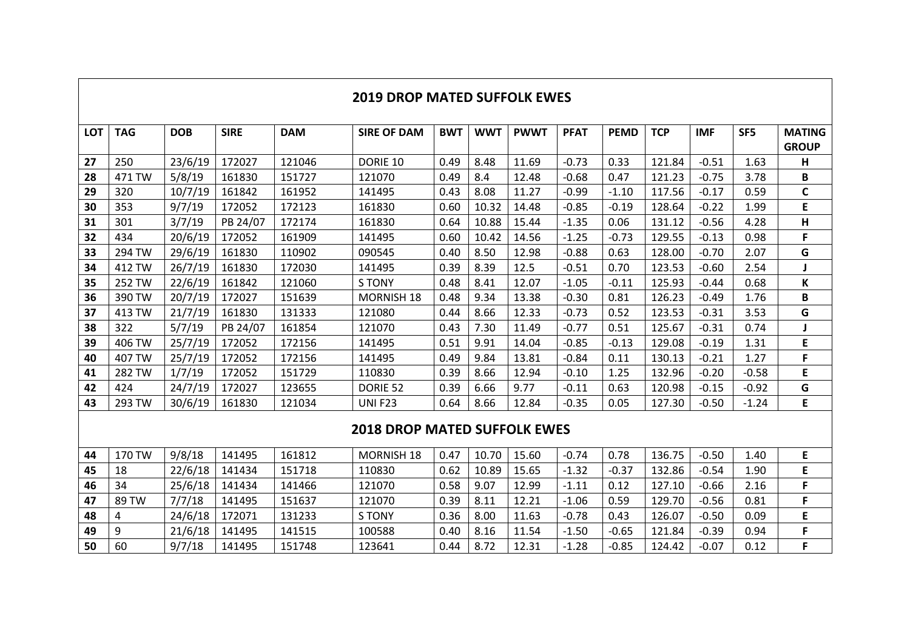|            | <b>2019 DROP MATED SUFFOLK EWES</b> |            |             |            |                    |      |            |             |             |             |            |            |                 |                               |
|------------|-------------------------------------|------------|-------------|------------|--------------------|------|------------|-------------|-------------|-------------|------------|------------|-----------------|-------------------------------|
| <b>LOT</b> | <b>TAG</b>                          | <b>DOB</b> | <b>SIRE</b> | <b>DAM</b> | <b>SIRE OF DAM</b> | BWT  | <b>WWT</b> | <b>PWWT</b> | <b>PFAT</b> | <b>PEMD</b> | <b>TCP</b> | <b>IMF</b> | SF <sub>5</sub> | <b>MATING</b><br><b>GROUP</b> |
| 27         | 250                                 | 23/6/19    | 172027      | 121046     | DORIE 10           | 0.49 | 8.48       | 11.69       | $-0.73$     | 0.33        | 121.84     | $-0.51$    | 1.63            | н                             |
| 28         | 471 TW                              | 5/8/19     | 161830      | 151727     | 121070             | 0.49 | 8.4        | 12.48       | $-0.68$     | 0.47        | 121.23     | $-0.75$    | 3.78            | В                             |
| 29         | 320                                 | 10/7/19    | 161842      | 161952     | 141495             | 0.43 | 8.08       | 11.27       | $-0.99$     | $-1.10$     | 117.56     | $-0.17$    | 0.59            | $\mathsf{C}$                  |
| 30         | 353                                 | 9/7/19     | 172052      | 172123     | 161830             | 0.60 | 10.32      | 14.48       | $-0.85$     | $-0.19$     | 128.64     | $-0.22$    | 1.99            | E                             |
| 31         | 301                                 | 3/7/19     | PB 24/07    | 172174     | 161830             | 0.64 | 10.88      | 15.44       | $-1.35$     | 0.06        | 131.12     | $-0.56$    | 4.28            | н                             |
| 32         | 434                                 | 20/6/19    | 172052      | 161909     | 141495             | 0.60 | 10.42      | 14.56       | $-1.25$     | $-0.73$     | 129.55     | $-0.13$    | 0.98            | F                             |
| 33         | 294 TW                              | 29/6/19    | 161830      | 110902     | 090545             | 0.40 | 8.50       | 12.98       | $-0.88$     | 0.63        | 128.00     | $-0.70$    | 2.07            | G                             |
| 34         | 412 TW                              | 26/7/19    | 161830      | 172030     | 141495             | 0.39 | 8.39       | 12.5        | $-0.51$     | 0.70        | 123.53     | $-0.60$    | 2.54            |                               |
| 35         | 252 TW                              | 22/6/19    | 161842      | 121060     | S TONY             | 0.48 | 8.41       | 12.07       | $-1.05$     | $-0.11$     | 125.93     | $-0.44$    | 0.68            | K                             |
| 36         | 390 TW                              | 20/7/19    | 172027      | 151639     | <b>MORNISH 18</b>  | 0.48 | 9.34       | 13.38       | $-0.30$     | 0.81        | 126.23     | $-0.49$    | 1.76            | В                             |
| 37         | 413 TW                              | 21/7/19    | 161830      | 131333     | 121080             | 0.44 | 8.66       | 12.33       | $-0.73$     | 0.52        | 123.53     | $-0.31$    | 3.53            | G                             |
| 38         | 322                                 | 5/7/19     | PB 24/07    | 161854     | 121070             | 0.43 | 7.30       | 11.49       | $-0.77$     | 0.51        | 125.67     | $-0.31$    | 0.74            |                               |
| 39         | 406 TW                              | 25/7/19    | 172052      | 172156     | 141495             | 0.51 | 9.91       | 14.04       | $-0.85$     | $-0.13$     | 129.08     | $-0.19$    | 1.31            | E                             |
| 40         | 407 TW                              | 25/7/19    | 172052      | 172156     | 141495             | 0.49 | 9.84       | 13.81       | $-0.84$     | 0.11        | 130.13     | $-0.21$    | 1.27            | F                             |
| 41         | 282 TW                              | 1/7/19     | 172052      | 151729     | 110830             | 0.39 | 8.66       | 12.94       | $-0.10$     | 1.25        | 132.96     | $-0.20$    | $-0.58$         | E                             |
| 42         | 424                                 | 24/7/19    | 172027      | 123655     | DORIE 52           | 0.39 | 6.66       | 9.77        | $-0.11$     | 0.63        | 120.98     | $-0.15$    | $-0.92$         | G                             |
| 43         | 293 TW                              | 30/6/19    | 161830      | 121034     | <b>UNIF23</b>      | 0.64 | 8.66       | 12.84       | $-0.35$     | 0.05        | 127.30     | $-0.50$    | $-1.24$         | E                             |

#### **2018 DROP MATED SUFFOLK EWES**

| 44 | 170 TW | 9/8/18  | 141495 | 161812 | <b>MORNISH 18</b> | 0.47 | 10.70 | 15.60 | $-0.74$ | 0.78    | 136.75 | $-0.50$ | 1.40 |  |
|----|--------|---------|--------|--------|-------------------|------|-------|-------|---------|---------|--------|---------|------|--|
| 45 | 18     | 22/6/18 | 141434 | 151718 | 110830            | 0.62 | 10.89 | 15.65 | $-1.32$ | $-0.37$ | 132.86 | $-0.54$ | 1.90 |  |
| 46 | 34     | 25/6/18 | 141434 | 141466 | 121070            | 0.58 | 9.07  | 12.99 | $-1.11$ | 0.12    | 127.10 | -0.66   | 2.16 |  |
| 47 | 89 TW  | 7/7/18  | 141495 | 151637 | 121070            | 0.39 | 8.11  | 12.21 | $-1.06$ | 0.59    | 129.70 | $-0.56$ | 0.81 |  |
| 48 | 4      | 24/6/18 | 72071  | 131233 | <b>STONY</b>      | 0.36 | 8.00  | 11.63 | $-0.78$ | 0.43    | 126.07 | $-0.50$ | 0.09 |  |
| 49 | Q      | 21/6/18 | 141495 | 141515 | 100588            | 0.40 | 8.16  | 11.54 | $-1.50$ | $-0.65$ | 121.84 | $-0.39$ | 0.94 |  |
| 50 | 60     | 9/7/18  | 141495 | 151748 | 123641            | 0.44 | 8.72  | 12.31 | $-1.28$ | $-0.85$ | 124.42 | $-0.07$ | 0.12 |  |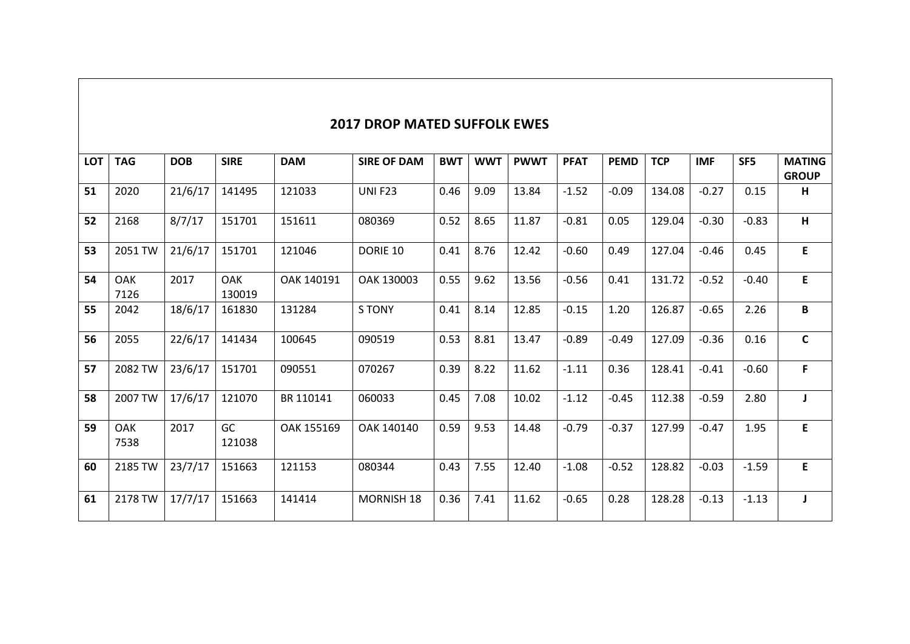#### **2017 DROP MATED SUFFOLK EWES**

| <b>LOT</b> | <b>TAG</b>         | <b>DOB</b> | <b>SIRE</b>          | <b>DAM</b> | <b>SIRE OF DAM</b> | <b>BWT</b> | <b>WWT</b> | <b>PWWT</b> | <b>PFAT</b> | <b>PEMD</b> | <b>TCP</b> | <b>IMF</b> | SF <sub>5</sub> | <b>MATING</b> |
|------------|--------------------|------------|----------------------|------------|--------------------|------------|------------|-------------|-------------|-------------|------------|------------|-----------------|---------------|
|            |                    |            |                      |            |                    |            |            |             |             |             |            |            |                 | <b>GROUP</b>  |
| 51         | 2020               | 21/6/17    | 141495               | 121033     | <b>UNI F23</b>     | 0.46       | 9.09       | 13.84       | $-1.52$     | $-0.09$     | 134.08     | $-0.27$    | 0.15            | н             |
| 52         | 2168               | 8/7/17     | 151701               | 151611     | 080369             | 0.52       | 8.65       | 11.87       | $-0.81$     | 0.05        | 129.04     | $-0.30$    | $-0.83$         | H.            |
| 53         | 2051 TW            | 21/6/17    | 151701               | 121046     | DORIE 10           | 0.41       | 8.76       | 12.42       | $-0.60$     | 0.49        | 127.04     | $-0.46$    | 0.45            | E             |
| 54         | <b>OAK</b><br>7126 | 2017       | <b>OAK</b><br>130019 | OAK 140191 | OAK 130003         | 0.55       | 9.62       | 13.56       | $-0.56$     | 0.41        | 131.72     | $-0.52$    | $-0.40$         | E             |
| 55         | 2042               | 18/6/17    | 161830               | 131284     | <b>STONY</b>       | 0.41       | 8.14       | 12.85       | $-0.15$     | 1.20        | 126.87     | $-0.65$    | 2.26            | В             |
| 56         | 2055               | 22/6/17    | 141434               | 100645     | 090519             | 0.53       | 8.81       | 13.47       | $-0.89$     | $-0.49$     | 127.09     | $-0.36$    | 0.16            | $\mathsf{C}$  |
| 57         | 2082 TW            | 23/6/17    | 151701               | 090551     | 070267             | 0.39       | 8.22       | 11.62       | $-1.11$     | 0.36        | 128.41     | $-0.41$    | $-0.60$         | F.            |
| 58         | 2007 TW            | 17/6/17    | 121070               | BR 110141  | 060033             | 0.45       | 7.08       | 10.02       | $-1.12$     | $-0.45$     | 112.38     | $-0.59$    | 2.80            | J.            |
| 59         | <b>OAK</b><br>7538 | 2017       | GC<br>121038         | OAK 155169 | OAK 140140         | 0.59       | 9.53       | 14.48       | $-0.79$     | $-0.37$     | 127.99     | $-0.47$    | 1.95            | E.            |
| 60         | 2185 TW            | 23/7/17    | 151663               | 121153     | 080344             | 0.43       | 7.55       | 12.40       | $-1.08$     | $-0.52$     | 128.82     | $-0.03$    | $-1.59$         | E             |
| 61         | 2178 TW            | 17/7/17    | 151663               | 141414     | <b>MORNISH 18</b>  | 0.36       | 7.41       | 11.62       | $-0.65$     | 0.28        | 128.28     | $-0.13$    | $-1.13$         | J             |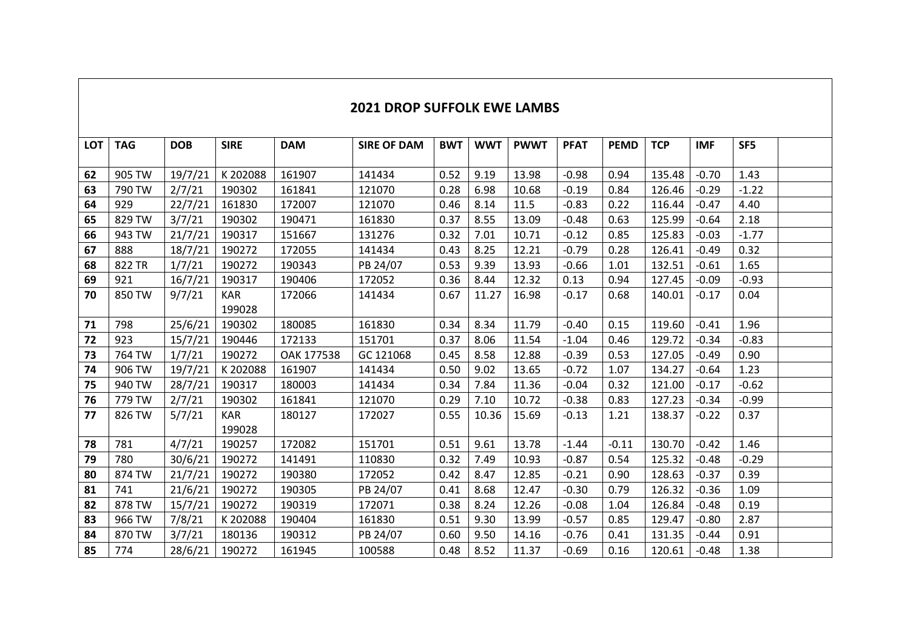| <b>LOT</b> | <b>TAG</b> | <b>DOB</b> | <b>SIRE</b> | <b>DAM</b> | <b>SIRE OF DAM</b> | <b>BWT</b> | <b>WWT</b> | <b>PWWT</b> | <b>PFAT</b> | <b>PEMD</b> | <b>TCP</b> | <b>IMF</b> | SF5     |  |
|------------|------------|------------|-------------|------------|--------------------|------------|------------|-------------|-------------|-------------|------------|------------|---------|--|
|            |            |            |             |            |                    |            |            |             |             |             |            |            |         |  |
| 62         | 905 TW     | 19/7/21    | K 202088    | 161907     | 141434             | 0.52       | 9.19       | 13.98       | $-0.98$     | 0.94        | 135.48     | $-0.70$    | 1.43    |  |
| 63         | 790 TW     | 2/7/21     | 190302      | 161841     | 121070             | 0.28       | 6.98       | 10.68       | $-0.19$     | 0.84        | 126.46     | $-0.29$    | $-1.22$ |  |
| 64         | 929        | 22/7/21    | 161830      | 172007     | 121070             | 0.46       | 8.14       | 11.5        | $-0.83$     | 0.22        | 116.44     | $-0.47$    | 4.40    |  |
| 65         | 829 TW     | 3/7/21     | 190302      | 190471     | 161830             | 0.37       | 8.55       | 13.09       | $-0.48$     | 0.63        | 125.99     | $-0.64$    | 2.18    |  |
| 66         | 943 TW     | 21/7/21    | 190317      | 151667     | 131276             | 0.32       | 7.01       | 10.71       | $-0.12$     | 0.85        | 125.83     | $-0.03$    | $-1.77$ |  |
| 67         | 888        | 18/7/21    | 190272      | 172055     | 141434             | 0.43       | 8.25       | 12.21       | $-0.79$     | 0.28        | 126.41     | $-0.49$    | 0.32    |  |
| 68         | 822 TR     | 1/7/21     | 190272      | 190343     | PB 24/07           | 0.53       | 9.39       | 13.93       | $-0.66$     | 1.01        | 132.51     | $-0.61$    | 1.65    |  |
| 69         | 921        | 16/7/21    | 190317      | 190406     | 172052             | 0.36       | 8.44       | 12.32       | 0.13        | 0.94        | 127.45     | $-0.09$    | $-0.93$ |  |
| 70         | 850 TW     | 9/7/21     | <b>KAR</b>  | 172066     | 141434             | 0.67       | 11.27      | 16.98       | $-0.17$     | 0.68        | 140.01     | $-0.17$    | 0.04    |  |
|            |            |            | 199028      |            |                    |            |            |             |             |             |            |            |         |  |
| 71         | 798        | 25/6/21    | 190302      | 180085     | 161830             | 0.34       | 8.34       | 11.79       | $-0.40$     | 0.15        | 119.60     | $-0.41$    | 1.96    |  |
| 72         | 923        | 15/7/21    | 190446      | 172133     | 151701             | 0.37       | 8.06       | 11.54       | $-1.04$     | 0.46        | 129.72     | $-0.34$    | $-0.83$ |  |
| 73         | 764 TW     | 1/7/21     | 190272      | OAK 177538 | GC 121068          | 0.45       | 8.58       | 12.88       | $-0.39$     | 0.53        | 127.05     | $-0.49$    | 0.90    |  |
| 74         | 906 TW     | 19/7/21    | K 202088    | 161907     | 141434             | 0.50       | 9.02       | 13.65       | $-0.72$     | 1.07        | 134.27     | $-0.64$    | 1.23    |  |
| 75         | 940 TW     | 28/7/21    | 190317      | 180003     | 141434             | 0.34       | 7.84       | 11.36       | $-0.04$     | 0.32        | 121.00     | $-0.17$    | $-0.62$ |  |
| 76         | 779 TW     | 2/7/21     | 190302      | 161841     | 121070             | 0.29       | 7.10       | 10.72       | $-0.38$     | 0.83        | 127.23     | $-0.34$    | $-0.99$ |  |
| 77         | 826 TW     | 5/7/21     | <b>KAR</b>  | 180127     | 172027             | 0.55       | 10.36      | 15.69       | $-0.13$     | 1.21        | 138.37     | $-0.22$    | 0.37    |  |
|            |            |            | 199028      |            |                    |            |            |             |             |             |            |            |         |  |
| 78         | 781        | 4/7/21     | 190257      | 172082     | 151701             | 0.51       | 9.61       | 13.78       | $-1.44$     | $-0.11$     | 130.70     | $-0.42$    | 1.46    |  |
| 79         | 780        | 30/6/21    | 190272      | 141491     | 110830             | 0.32       | 7.49       | 10.93       | $-0.87$     | 0.54        | 125.32     | $-0.48$    | $-0.29$ |  |
| 80         | 874 TW     | 21/7/21    | 190272      | 190380     | 172052             | 0.42       | 8.47       | 12.85       | $-0.21$     | 0.90        | 128.63     | $-0.37$    | 0.39    |  |
| 81         | 741        | 21/6/21    | 190272      | 190305     | PB 24/07           | 0.41       | 8.68       | 12.47       | $-0.30$     | 0.79        | 126.32     | $-0.36$    | 1.09    |  |
| 82         | 878 TW     | 15/7/21    | 190272      | 190319     | 172071             | 0.38       | 8.24       | 12.26       | $-0.08$     | 1.04        | 126.84     | $-0.48$    | 0.19    |  |
| 83         | 966 TW     | 7/8/21     | K 202088    | 190404     | 161830             | 0.51       | 9.30       | 13.99       | $-0.57$     | 0.85        | 129.47     | $-0.80$    | 2.87    |  |
| 84         | 870 TW     | 3/7/21     | 180136      | 190312     | PB 24/07           | 0.60       | 9.50       | 14.16       | $-0.76$     | 0.41        | 131.35     | $-0.44$    | 0.91    |  |
| 85         | 774        | 28/6/21    | 190272      | 161945     | 100588             | 0.48       | 8.52       | 11.37       | $-0.69$     | 0.16        | 120.61     | $-0.48$    | 1.38    |  |

### **2021 DROP SUFFOLK EWE LAMBS**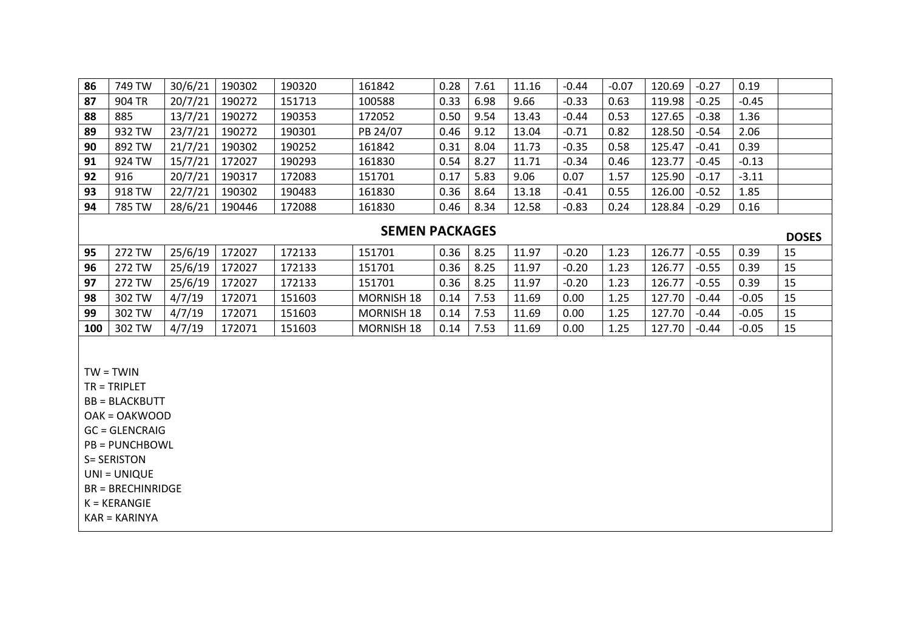| 86 | 749 TW | 30/6/21 | 190302 | 190320 | 161842   | 0.28 | 7.61 | 11.16 | $-0.44$ | $-0.07$ | 120.69 | $-0.27$ | 0.19    |  |
|----|--------|---------|--------|--------|----------|------|------|-------|---------|---------|--------|---------|---------|--|
| 87 | 904 TR | 20/7/21 | 190272 | 151713 | 100588   | 0.33 | 6.98 | 9.66  | $-0.33$ | 0.63    | 119.98 | $-0.25$ | $-0.45$ |  |
| 88 | 885    | 13/7/21 | 190272 | 190353 | 172052   | 0.50 | 9.54 | 13.43 | $-0.44$ | 0.53    | 127.65 | $-0.38$ | 1.36    |  |
| 89 | 932 TW | 23/7/21 | 190272 | 190301 | PB 24/07 | 0.46 | 9.12 | 13.04 | $-0.71$ | 0.82    | 128.50 | $-0.54$ | 2.06    |  |
| 90 | 892 TW | 21/7/21 | 190302 | 190252 | 161842   | 0.31 | 8.04 | 11.73 | $-0.35$ | 0.58    | 125.47 | $-0.41$ | 0.39    |  |
| 91 | 924 TW | 15/7/21 | 172027 | 190293 | 161830   | 0.54 | 8.27 | 11.71 | $-0.34$ | 0.46    | 123.77 | $-0.45$ | $-0.13$ |  |
| 92 | 916    | 20/7/21 | 190317 | 172083 | 151701   | 0.17 | 5.83 | 9.06  | 0.07    | 1.57    | 125.90 | $-0.17$ | $-3.11$ |  |
| 93 | 918 TW | 22/7/21 | 190302 | 190483 | 161830   | 0.36 | 8.64 | 13.18 | $-0.41$ | 0.55    | 126.00 | $-0.52$ | 1.85    |  |
| 94 | 785 TW | 28/6/21 | 190446 | 172088 | 161830   | 0.46 | 8.34 | 12.58 | $-0.83$ | 0.24    | 128.84 | $-0.29$ | 0.16    |  |
|    |        |         |        |        |          |      |      |       |         |         |        |         |         |  |

#### **SEMEN PACKAGES**

|     | JLIVILIY FAUNAULJ |         |        |        |                   |      |      |       |         |      | <b>DOSES</b> |         |         |     |
|-----|-------------------|---------|--------|--------|-------------------|------|------|-------|---------|------|--------------|---------|---------|-----|
| 95  | 272 TW            | 25/6/19 | 172027 | 172133 | 151701            | 0.36 | 8.25 | 11.97 | $-0.20$ | 1.23 | 126.77       | $-0.55$ | 0.39    | -15 |
| 96  | 272 TW            | 25/6/19 | 172027 | 172133 | 151701            | 0.36 | 8.25 | 11.97 | $-0.20$ | 1.23 | 126.77       | $-0.55$ | 0.39    | -15 |
| 97  | 272 TW            | 25/6/19 | 172027 | 172133 | 151701            | 0.36 | 8.25 | 11.97 | $-0.20$ | 1.23 | 126.77       | $-0.55$ | 0.39    | -15 |
| 98  | 302 TW            | 4/7/19  | 172071 | 151603 | <b>MORNISH 18</b> | 0.14 | 7.53 | 11.69 | 0.00    | 1.25 | 127.70       | $-0.44$ | $-0.05$ | -15 |
| 99  | 302 TW            | 4/7/19  | 172071 | 151603 | <b>MORNISH 18</b> | 0.14 | 7.53 | 11.69 | 0.00    | 1.25 | 127.70       | $-0.44$ | $-0.05$ | -15 |
| 100 | 302 TW            | 4/7/19  | .72071 | 151603 | <b>MORNISH 18</b> | 0.14 | 7.53 | 11.69 | 0.00    | 1.25 | 127.70       | $-0.44$ | $-0.05$ | -15 |

 $TW = TWIN$ 

TR = TRIPLET

BB = BLACKBUTT

OAK = OAKWOOD

GC = GLENCRAIG

PB = PUNCHBOWL

S= SERISTON

UNI = UNIQUE

BR = BRECHINRIDGE

K = KERANGIE

KAR = KARINYA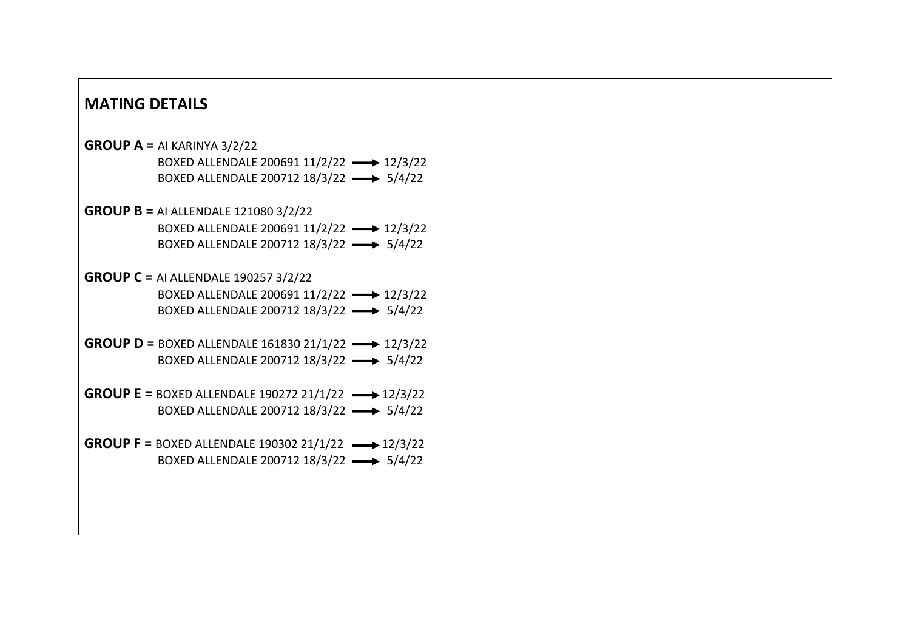#### **MATING DETAILS**

## **GROUP A =** AI KARINYA 3/2/22 BOXED ALLENDALE 200691 11/2/22 -> 12/3/22 BOXED ALLENDALE 200712 18/3/22 -> 5/4/22 **GROUP B =** AI ALLENDALE 121080 3/2/22 BOXED ALLENDALE 200691 11/2/22 -> 12/3/22 BOXED ALLENDALE 200712 18/3/22 -> 5/4/22 **GROUP C =** AI ALLENDALE 190257 3/2/22 BOXED ALLENDALE 200691 11/2/22 -> 12/3/22 BOXED ALLENDALE 200712 18/3/22 -> 5/4/22 **GROUP D** = BOXED ALLENDALE 161830 21/1/22  $\longrightarrow$  12/3/22 BOXED ALLENDALE 200712 18/3/22 -> 5/4/22 **GROUP E =** BOXED ALLENDALE 190272 21/1/22 -> 12/3/22 BOXED ALLENDALE 200712 18/3/22 -> 5/4/22 **GROUP F = BOXED ALLENDALE 190302 21/1/22 -> 12/3/22** BOXED ALLENDALE 200712 18/3/22 -> 5/4/22